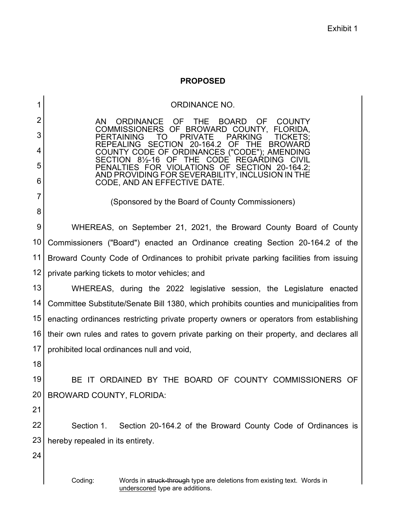## **PROPOSED**

1 2 3 4 5 6 7 8 9 10 11 12 13 14 15 16 17 18 19 20 21 22 23 24 ORDINANCE NO. AN ORDINANCE OF THE BOARD OF COUNTY<br>COMMISSIONERS OF BROWARD COUNTY, FLORIDA, COMMISSIONERS OF BROWARD COUNTY,<br>PERTAINING TO PRIVATE PARKING PERTAINING TO PRIVATE PARKING TICKETS; REPEALING SECTION 20-164.2 OF THE BROWARD COUNTY CODE OF ORDINANCES ("CODE"); AMENDING SECTION  $8\frac{1}{2}$ -16 OF THE CODE PENALTIES FOR VIOLATIONS OF SECTION 20-164.2; AND PROVIDING FOR SEVERABILITY, INCLUSION IN THE CODE, AND AN EFFECTIVE DATE. (Sponsored by the Board of County Commissioners) WHEREAS, on September 21, 2021, the Broward County Board of County Commissioners ("Board") enacted an Ordinance creating Section 20-164.2 of the Broward County Code of Ordinances to prohibit private parking facilities from issuing private parking tickets to motor vehicles; and WHEREAS, during the 2022 legislative session, the Legislature enacted Committee Substitute/Senate Bill 1380, which prohibits counties and municipalities from enacting ordinances restricting private property owners or operators from establishing their own rules and rates to govern private parking on their property, and declares all prohibited local ordinances null and void, BE IT ORDAINED BY THE BOARD OF COUNTY COMMISSIONERS OF BROWARD COUNTY, FLORIDA: Section 1. Section 20-164.2 of the Broward County Code of Ordinances is hereby repealed in its entirety.

Coding: Words in struck-through type are deletions from existing text. Words in underscored type are additions.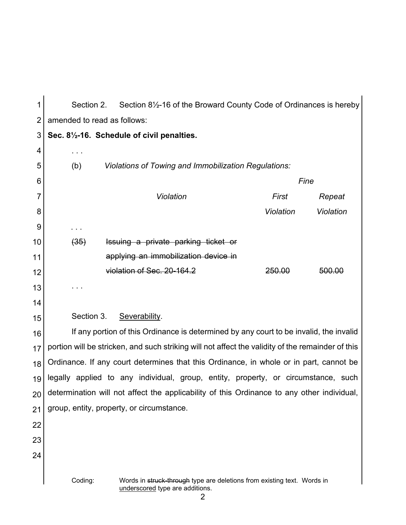| 1              | Section 8 <sup>1</sup> / <sub>2</sub> -16 of the Broward County Code of Ordinances is hereby<br>Section 2. |                                                                                                                 |           |           |  |
|----------------|------------------------------------------------------------------------------------------------------------|-----------------------------------------------------------------------------------------------------------------|-----------|-----------|--|
| $\overline{2}$ | amended to read as follows:                                                                                |                                                                                                                 |           |           |  |
| 3              | Sec. 81/2-16. Schedule of civil penalties.                                                                 |                                                                                                                 |           |           |  |
| 4              |                                                                                                            |                                                                                                                 |           |           |  |
| 5              | <b>Violations of Towing and Immobilization Regulations:</b><br>(b)                                         |                                                                                                                 |           |           |  |
| 6              |                                                                                                            | Fine                                                                                                            |           |           |  |
| 7              |                                                                                                            | Violation                                                                                                       | First     | Repeat    |  |
| 8              |                                                                                                            |                                                                                                                 | Violation | Violation |  |
| 9              |                                                                                                            |                                                                                                                 |           |           |  |
| 10             | (35)                                                                                                       | Issuing a private parking ticket or                                                                             |           |           |  |
| 11             |                                                                                                            | applying an immobilization device in                                                                            |           |           |  |
| 12             |                                                                                                            | violation of Sec. 20-164.2                                                                                      | 250.00    | 500.00    |  |
| 13             |                                                                                                            |                                                                                                                 |           |           |  |
| 14             |                                                                                                            |                                                                                                                 |           |           |  |
| 15             | Section 3.                                                                                                 | Severability.                                                                                                   |           |           |  |
| 16             | If any portion of this Ordinance is determined by any court to be invalid, the invalid                     |                                                                                                                 |           |           |  |
| 17             | portion will be stricken, and such striking will not affect the validity of the remainder of this          |                                                                                                                 |           |           |  |
| 18             | Ordinance. If any court determines that this Ordinance, in whole or in part, cannot be                     |                                                                                                                 |           |           |  |
| 19             | legally applied to any individual, group, entity, property, or circumstance, such                          |                                                                                                                 |           |           |  |
| 20             | determination will not affect the applicability of this Ordinance to any other individual,                 |                                                                                                                 |           |           |  |
| 21             | group, entity, property, or circumstance.                                                                  |                                                                                                                 |           |           |  |
| 22             |                                                                                                            |                                                                                                                 |           |           |  |
| 23             |                                                                                                            |                                                                                                                 |           |           |  |
| 24             |                                                                                                            |                                                                                                                 |           |           |  |
|                | Coding:                                                                                                    | Words in struck-through type are deletions from existing text. Words in<br>underscored type are additions.<br>2 |           |           |  |